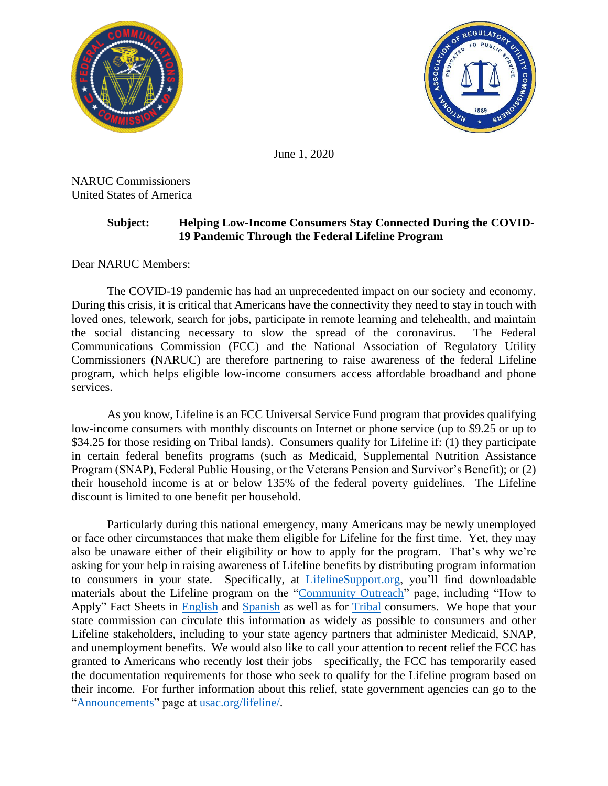



June 1, 2020

NARUC Commissioners United States of America

## **Subject: Helping Low-Income Consumers Stay Connected During the COVID-19 Pandemic Through the Federal Lifeline Program**

Dear NARUC Members:

The COVID-19 pandemic has had an unprecedented impact on our society and economy. During this crisis, it is critical that Americans have the connectivity they need to stay in touch with loved ones, telework, search for jobs, participate in remote learning and telehealth, and maintain the social distancing necessary to slow the spread of the coronavirus. The Federal Communications Commission (FCC) and the National Association of Regulatory Utility Commissioners (NARUC) are therefore partnering to raise awareness of the federal Lifeline program, which helps eligible low-income consumers access affordable broadband and phone services.

As you know, Lifeline is an FCC Universal Service Fund program that provides qualifying low-income consumers with monthly discounts on Internet or phone service (up to \$9.25 or up to \$34.25 for those residing on Tribal lands). Consumers qualify for Lifeline if: (1) they participate in certain federal benefits programs (such as Medicaid, Supplemental Nutrition Assistance Program (SNAP), Federal Public Housing, or the Veterans Pension and Survivor's Benefit); or (2) their household income is at or below 135% of the federal poverty guidelines. The Lifeline discount is limited to one benefit per household.

Particularly during this national emergency, many Americans may be newly unemployed or face other circumstances that make them eligible for Lifeline for the first time. Yet, they may also be unaware either of their eligibility or how to apply for the program. That's why we're asking for your help in raising awareness of Lifeline benefits by distributing program information to consumers in your state. Specifically, at [LifelineSupport.org,](https://www.lifelinesupport.org/) you'll find downloadable materials about the Lifeline program on the ["Community Outreach"](https://www.lifelinesupport.org/community-outreach/) page, including "How to Apply" Fact Sheets in [English](https://www.lifelinesupport.org/wp-content/uploads/lifeline/documents/How-to-Apply.pdf) and [Spanish](https://www.lifelinesupport.org/wp-content/uploads/lifeline/documents/Lifeline_SP_How-to-Apply.pdf) as well as for [Tribal](https://www.lifelinesupport.org/wp-content/uploads/lifeline/documents/Tribal-Flyer-1.pdf) consumers. We hope that your state commission can circulate this information as widely as possible to consumers and other Lifeline stakeholders, including to your state agency partners that administer Medicaid, SNAP, and unemployment benefits. We would also like to call your attention to recent relief the FCC has granted to Americans who recently lost their jobs—specifically, the FCC has temporarily eased the documentation requirements for those who seek to qualify for the Lifeline program based on their income. For further information about this relief, state government agencies can go to the ["Announcements"](https://www.usac.org/lifeline/contact-us/announcements/) page at [usac.org/lifeline/.](https://www.usac.org/lifeline/)